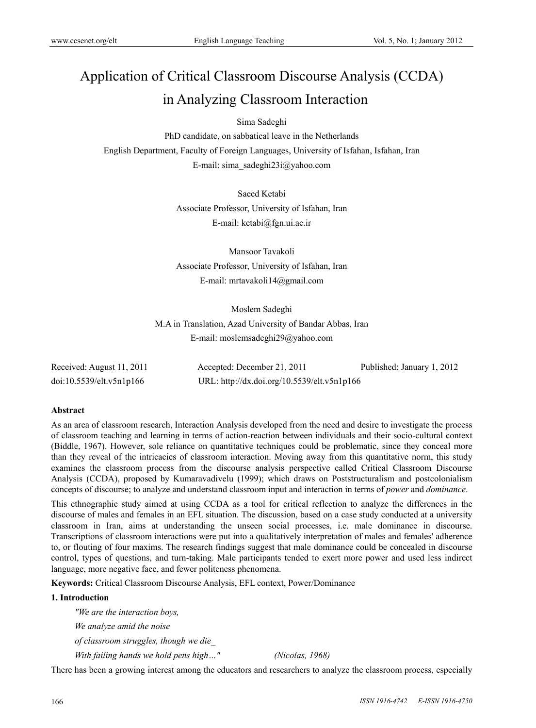# Application of Critical Classroom Discourse Analysis (CCDA) in Analyzing Classroom Interaction

Sima Sadeghi

PhD candidate, on sabbatical leave in the Netherlands English Department, Faculty of Foreign Languages, University of Isfahan, Isfahan, Iran E-mail: sima\_sadeghi23i@yahoo.com

> Saeed Ketabi Associate Professor, University of Isfahan, Iran E-mail: ketabi@fgn.ui.ac.ir

> Mansoor Tavakoli Associate Professor, University of Isfahan, Iran E-mail: mrtavakoli14@gmail.com

# Moslem Sadeghi

M.A in Translation, Azad University of Bandar Abbas, Iran E-mail: moslemsadeghi29@yahoo.com

| Received: August 11, 2011 | Accepted: December 21, 2011                 | Published: January 1, 2012 |
|---------------------------|---------------------------------------------|----------------------------|
| doi:10.5539/elt.v5n1p166  | URL: http://dx.doi.org/10.5539/elt.v5n1p166 |                            |

## **Abstract**

As an area of classroom research, Interaction Analysis developed from the need and desire to investigate the process of classroom teaching and learning in terms of action-reaction between individuals and their socio-cultural context (Biddle, 1967). However, sole reliance on quantitative techniques could be problematic, since they conceal more than they reveal of the intricacies of classroom interaction. Moving away from this quantitative norm, this study examines the classroom process from the discourse analysis perspective called Critical Classroom Discourse Analysis (CCDA), proposed by Kumaravadivelu (1999); which draws on Poststructuralism and postcolonialism concepts of discourse; to analyze and understand classroom input and interaction in terms of *power* and *dominance*.

This ethnographic study aimed at using CCDA as a tool for critical reflection to analyze the differences in the discourse of males and females in an EFL situation. The discussion, based on a case study conducted at a university classroom in Iran, aims at understanding the unseen social processes, i.e. male dominance in discourse. Transcriptions of classroom interactions were put into a qualitatively interpretation of males and females' adherence to, or flouting of four maxims. The research findings suggest that male dominance could be concealed in discourse control, types of questions, and turn-taking. Male participants tended to exert more power and used less indirect language, more negative face, and fewer politeness phenomena.

**Keywords:** Critical Classroom Discourse Analysis, EFL context, Power/Dominance

## **1. Introduction**

*"We are the interaction boys,* 

*We analyze amid the noise* 

*of classroom struggles, though we die\_* 

*With failing hands we hold pens high…" (Nicolas, 1968)* 

There has been a growing interest among the educators and researchers to analyze the classroom process, especially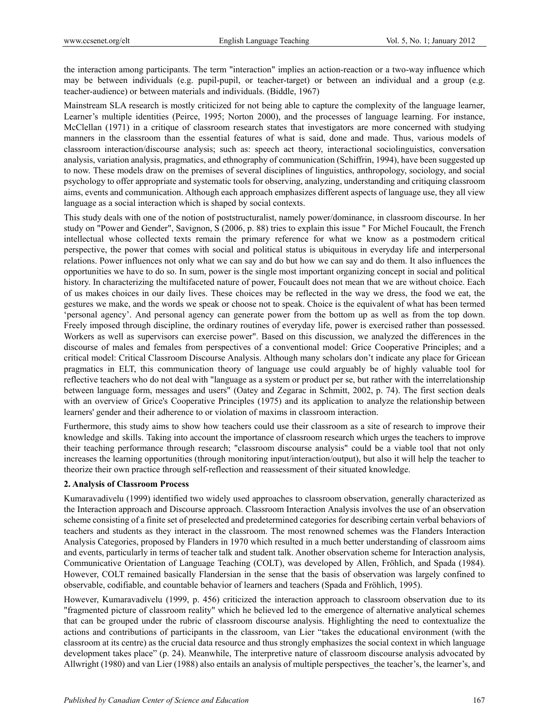the interaction among participants. The term "interaction" implies an action-reaction or a two-way influence which may be between individuals (e.g. pupil-pupil, or teacher-target) or between an individual and a group (e.g. teacher-audience) or between materials and individuals. (Biddle, 1967)

Mainstream SLA research is mostly criticized for not being able to capture the complexity of the language learner, Learner's multiple identities (Peirce, 1995; Norton 2000), and the processes of language learning. For instance, McClellan (1971) in a critique of classroom research states that investigators are more concerned with studying manners in the classroom than the essential features of what is said, done and made. Thus, various models of classroom interaction/discourse analysis; such as: speech act theory, interactional sociolinguistics, conversation analysis, variation analysis, pragmatics, and ethnography of communication (Schiffrin, 1994), have been suggested up to now. These models draw on the premises of several disciplines of linguistics, anthropology, sociology, and social psychology to offer appropriate and systematic tools for observing, analyzing, understanding and critiquing classroom aims, events and communication. Although each approach emphasizes different aspects of language use, they all view language as a social interaction which is shaped by social contexts.

This study deals with one of the notion of poststructuralist, namely power/dominance, in classroom discourse. In her study on "Power and Gender", Savignon, S (2006, p. 88) tries to explain this issue " For Michel Foucault, the French intellectual whose collected texts remain the primary reference for what we know as a postmodern critical perspective, the power that comes with social and political status is ubiquitous in everyday life and interpersonal relations. Power influences not only what we can say and do but how we can say and do them. It also influences the opportunities we have to do so. In sum, power is the single most important organizing concept in social and political history. In characterizing the multifaceted nature of power, Foucault does not mean that we are without choice. Each of us makes choices in our daily lives. These choices may be reflected in the way we dress, the food we eat, the gestures we make, and the words we speak or choose not to speak. Choice is the equivalent of what has been termed 'personal agency'. And personal agency can generate power from the bottom up as well as from the top down. Freely imposed through discipline, the ordinary routines of everyday life, power is exercised rather than possessed. Workers as well as supervisors can exercise power". Based on this discussion, we analyzed the differences in the discourse of males and females from perspectives of a conventional model: Grice Cooperative Principles; and a critical model: Critical Classroom Discourse Analysis. Although many scholars don't indicate any place for Gricean pragmatics in ELT, this communication theory of language use could arguably be of highly valuable tool for reflective teachers who do not deal with "language as a system or product per se, but rather with the interrelationship between language form, messages and users" (Oatey and Zegarac in Schmitt, 2002, p. 74). The first section deals with an overview of Grice's Cooperative Principles (1975) and its application to analyze the relationship between learners' gender and their adherence to or violation of maxims in classroom interaction.

Furthermore, this study aims to show how teachers could use their classroom as a site of research to improve their knowledge and skills. Taking into account the importance of classroom research which urges the teachers to improve their teaching performance through research; "classroom discourse analysis" could be a viable tool that not only increases the learning opportunities (through monitoring input/interaction/output), but also it will help the teacher to theorize their own practice through self-reflection and reassessment of their situated knowledge.

## **2. Analysis of Classroom Process**

Kumaravadivelu (1999) identified two widely used approaches to classroom observation, generally characterized as the Interaction approach and Discourse approach. Classroom Interaction Analysis involves the use of an observation scheme consisting of a finite set of preselected and predetermined categories for describing certain verbal behaviors of teachers and students as they interact in the classroom. The most renowned schemes was the Flanders Interaction Analysis Categories, proposed by Flanders in 1970 which resulted in a much better understanding of classroom aims and events, particularly in terms of teacher talk and student talk. Another observation scheme for Interaction analysis, Communicative Orientation of Language Teaching (COLT), was developed by Allen, Fröhlich, and Spada (1984). However, COLT remained basically Flandersian in the sense that the basis of observation was largely confined to observable, codifiable, and countable behavior of learners and teachers (Spada and Fröhlich, 1995).

However, Kumaravadivelu (1999, p. 456) criticized the interaction approach to classroom observation due to its "fragmented picture of classroom reality" which he believed led to the emergence of alternative analytical schemes that can be grouped under the rubric of classroom discourse analysis. Highlighting the need to contextualize the actions and contributions of participants in the classroom, van Lier "takes the educational environment (with the classroom at its centre) as the crucial data resource and thus strongly emphasizes the social context in which language development takes place" (p. 24). Meanwhile, The interpretive nature of classroom discourse analysis advocated by Allwright (1980) and van Lier (1988) also entails an analysis of multiple perspectives the teacher's, the learner's, and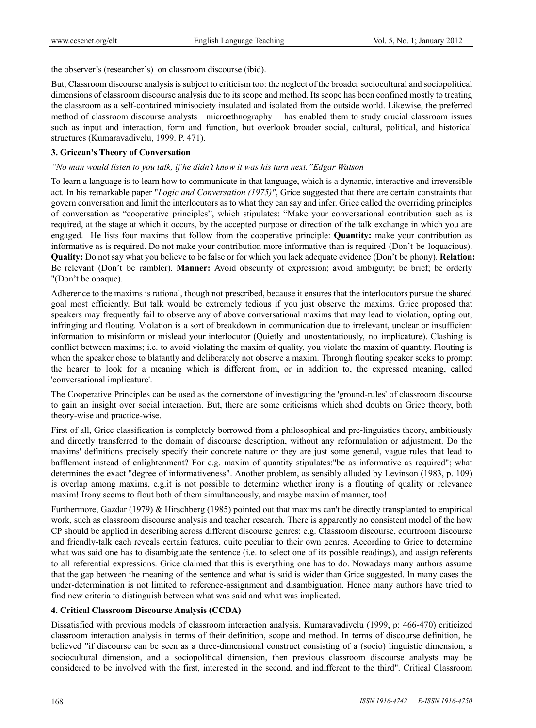the observer's (researcher's)\_on classroom discourse (ibid).

But, Classroom discourse analysis is subject to criticism too: the neglect of the broader sociocultural and sociopolitical dimensions of classroom discourse analysis due to its scope and method. Its scope has been confined mostly to treating the classroom as a self-contained minisociety insulated and isolated from the outside world. Likewise, the preferred method of classroom discourse analysts—microethnography— has enabled them to study crucial classroom issues such as input and interaction, form and function, but overlook broader social, cultural, political, and historical structures (Kumaravadivelu, 1999. P. 471).

# **3. Gricean's Theory of Conversation**

## *"No man would listen to you talk, if he didn't know it was his turn next."Edgar Watson*

To learn a language is to learn how to communicate in that language, which is a dynamic, interactive and irreversible act. In his remarkable paper "*Logic and Conversation (1975)"*, Grice suggested that there are certain constraints that govern conversation and limit the interlocutors as to what they can say and infer. Grice called the overriding principles of conversation as "cooperative principles", which stipulates: "Make your conversational contribution such as is required, at the stage at which it occurs, by the accepted purpose or direction of the talk exchange in which you are engaged. He lists four maxims that follow from the cooperative principle: **Quantity:** make your contribution as informative as is required. Do not make your contribution more informative than is required (Don't be loquacious). **Quality:** Do not say what you believe to be false or for which you lack adequate evidence (Don't be phony). **Relation:**  Be relevant (Don't be rambler). **Manner:** Avoid obscurity of expression; avoid ambiguity; be brief; be orderly "(Don't be opaque).

Adherence to the maxims is rational, though not prescribed, because it ensures that the interlocutors pursue the shared goal most efficiently. But talk would be extremely tedious if you just observe the maxims. Grice proposed that speakers may frequently fail to observe any of above conversational maxims that may lead to violation, opting out, infringing and flouting. Violation is a sort of breakdown in communication due to irrelevant, unclear or insufficient information to misinform or mislead your interlocutor (Quietly and unostentatiously, no implicature). Clashing is conflict between maxims; i.e. to avoid violating the maxim of quality, you violate the maxim of quantity. Flouting is when the speaker chose to blatantly and deliberately not observe a maxim. Through flouting speaker seeks to prompt the hearer to look for a meaning which is different from, or in addition to, the expressed meaning, called 'conversational implicature'.

The Cooperative Principles can be used as the cornerstone of investigating the 'ground-rules' of classroom discourse to gain an insight over social interaction. But, there are some criticisms which shed doubts on Grice theory, both theory-wise and practice-wise.

First of all, Grice classification is completely borrowed from a philosophical and pre-linguistics theory, ambitiously and directly transferred to the domain of discourse description, without any reformulation or adjustment. Do the maxims' definitions precisely specify their concrete nature or they are just some general, vague rules that lead to bafflement instead of enlightenment? For e.g. maxim of quantity stipulates:"be as informative as required"; what determines the exact "degree of informativeness". Another problem, as sensibly alluded by Levinson (1983, p. 109) is overlap among maxims, e.g.it is not possible to determine whether irony is a flouting of quality or relevance maxim! Irony seems to flout both of them simultaneously, and maybe maxim of manner, too!

Furthermore, Gazdar (1979) & Hirschberg (1985) pointed out that maxims can't be directly transplanted to empirical work, such as classroom discourse analysis and teacher research. There is apparently no consistent model of the how CP should be applied in describing across different discourse genres: e.g. Classroom discourse, courtroom discourse and friendly-talk each reveals certain features, quite peculiar to their own genres. According to Grice to determine what was said one has to disambiguate the sentence (i.e. to select one of its possible readings), and assign referents to all referential expressions. Grice claimed that this is everything one has to do. Nowadays many authors assume that the gap between the meaning of the sentence and what is said is wider than Grice suggested. In many cases the under-determination is not limited to reference-assignment and disambiguation. Hence many authors have tried to find new criteria to distinguish between what was said and what was implicated.

## **4. Critical Classroom Discourse Analysis (CCDA)**

Dissatisfied with previous models of classroom interaction analysis, Kumaravadivelu (1999, p: 466-470) criticized classroom interaction analysis in terms of their definition, scope and method. In terms of discourse definition, he believed "if discourse can be seen as a three-dimensional construct consisting of a (socio) linguistic dimension, a sociocultural dimension, and a sociopolitical dimension, then previous classroom discourse analysts may be considered to be involved with the first, interested in the second, and indifferent to the third". Critical Classroom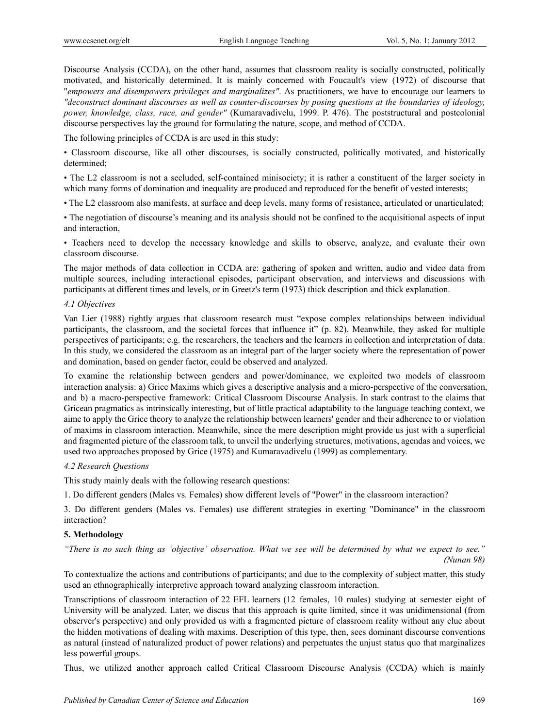Discourse Analysis (CCDA), on the other hand, assumes that classroom reality is socially constructed, politically motivated, and historically determined. It is mainly concerned with Foucault's view (1972) of discourse that "*empowers and disempowers privileges and marginalizes"*. As practitioners, we have to encourage our learners to *"deconstruct dominant discourses as well as counter-discourses by posing questions at the boundaries of ideology, power, knowledge, class, race, and gender"* (Kumaravadivelu, 1999. P. 476). The poststructural and postcolonial discourse perspectives lay the ground for formulating the nature, scope, and method of CCDA.

The following principles of CCDA is are used in this study:

• Classroom discourse, like all other discourses, is socially constructed, politically motivated, and historically determined;

• The L2 classroom is not a secluded, self-contained minisociety; it is rather a constituent of the larger society in which many forms of domination and inequality are produced and reproduced for the benefit of vested interests;

• The L2 classroom also manifests, at surface and deep levels, many forms of resistance, articulated or unarticulated;

• The negotiation of discourse's meaning and its analysis should not be confined to the acquisitional aspects of input and interaction,

• Teachers need to develop the necessary knowledge and skills to observe, analyze, and evaluate their own classroom discourse.

The major methods of data collection in CCDA are: gathering of spoken and written, audio and video data from multiple sources, including interactional episodes, participant observation, and interviews and discussions with participants at different times and levels, or in Greetz's term (1973) thick description and thick explanation.

## *4.1 Objectives*

Van Lier (1988) rightly argues that classroom research must "expose complex relationships between individual participants, the classroom, and the societal forces that influence it" (p. 82). Meanwhile, they asked for multiple perspectives of participants; e.g. the researchers, the teachers and the learners in collection and interpretation of data. In this study, we considered the classroom as an integral part of the larger society where the representation of power and domination, based on gender factor, could be observed and analyzed.

To examine the relationship between genders and power/dominance, we exploited two models of classroom interaction analysis: a) Grice Maxims which gives a descriptive analysis and a micro-perspective of the conversation, and b) a macro-perspective framework: Critical Classroom Discourse Analysis. In stark contrast to the claims that Gricean pragmatics as intrinsically interesting, but of little practical adaptability to the language teaching context, we aime to apply the Grice theory to analyze the relationship between learners' gender and their adherence to or violation of maxims in classroom interaction. Meanwhile, since the mere description might provide us just with a superficial and fragmented picture of the classroom talk, to unveil the underlying structures, motivations, agendas and voices, we used two approaches proposed by Grice (1975) and Kumaravadivelu (1999) as complementary.

## *4.2 Research Questions*

This study mainly deals with the following research questions:

1. Do different genders (Males vs. Females) show different levels of "Power" in the classroom interaction?

3. Do different genders (Males vs. Females) use different strategies in exerting "Dominance" in the classroom interaction?

## **5. Methodology**

*"There is no such thing as 'objective' observation. What we see will be determined by what we expect to see." (Nunan 98)*

To contextualize the actions and contributions of participants; and due to the complexity of subject matter, this study used an ethnographically interpretive approach toward analyzing classroom interaction.

Transcriptions of classroom interaction of 22 EFL learners (12 females, 10 males) studying at semester eight of University will be analyzed. Later, we discus that this approach is quite limited, since it was unidimensional (from observer's perspective) and only provided us with a fragmented picture of classroom reality without any clue about the hidden motivations of dealing with maxims. Description of this type, then, sees dominant discourse conventions as natural (instead of naturalized product of power relations) and perpetuates the unjust status quo that marginalizes less powerful groups.

Thus, we utilized another approach called Critical Classroom Discourse Analysis (CCDA) which is mainly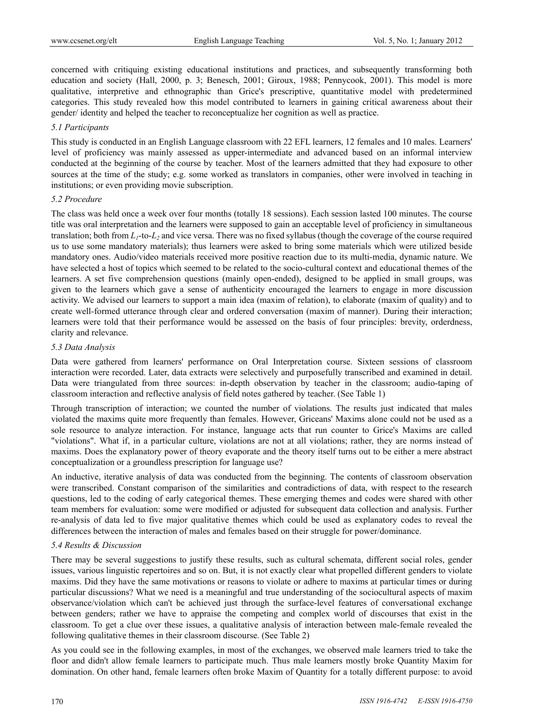concerned with critiquing existing educational institutions and practices, and subsequently transforming both education and society (Hall, 2000, p. 3; Benesch, 2001; Giroux, 1988; Pennycook, 2001). This model is more qualitative, interpretive and ethnographic than Grice's prescriptive, quantitative model with predetermined categories. This study revealed how this model contributed to learners in gaining critical awareness about their gender/ identity and helped the teacher to reconceptualize her cognition as well as practice.

#### *5.1 Participants*

This study is conducted in an English Language classroom with 22 EFL learners, 12 females and 10 males. Learners' level of proficiency was mainly assessed as upper-intermediate and advanced based on an informal interview conducted at the beginning of the course by teacher. Most of the learners admitted that they had exposure to other sources at the time of the study; e.g. some worked as translators in companies, other were involved in teaching in institutions; or even providing movie subscription.

#### *5.2 Procedure*

The class was held once a week over four months (totally 18 sessions). Each session lasted 100 minutes. The course title was oral interpretation and the learners were supposed to gain an acceptable level of proficiency in simultaneous translation; both from  $L_1$ -to- $L_2$  and vice versa. There was no fixed syllabus (though the coverage of the course required us to use some mandatory materials); thus learners were asked to bring some materials which were utilized beside mandatory ones. Audio/video materials received more positive reaction due to its multi-media, dynamic nature. We have selected a host of topics which seemed to be related to the socio-cultural context and educational themes of the learners. A set five comprehension questions (mainly open-ended), designed to be applied in small groups, was given to the learners which gave a sense of authenticity encouraged the learners to engage in more discussion activity. We advised our learners to support a main idea (maxim of relation), to elaborate (maxim of quality) and to create well-formed utterance through clear and ordered conversation (maxim of manner). During their interaction; learners were told that their performance would be assessed on the basis of four principles: brevity, orderdness, clarity and relevance.

#### *5.3 Data Analysis*

Data were gathered from learners' performance on Oral Interpretation course. Sixteen sessions of classroom interaction were recorded. Later, data extracts were selectively and purposefully transcribed and examined in detail. Data were triangulated from three sources: in-depth observation by teacher in the classroom; audio-taping of classroom interaction and reflective analysis of field notes gathered by teacher. (See Table 1)

Through transcription of interaction; we counted the number of violations. The results just indicated that males violated the maxims quite more frequently than females. However, Griceans' Maxims alone could not be used as a sole resource to analyze interaction. For instance, language acts that run counter to Grice's Maxims are called "violations". What if, in a particular culture, violations are not at all violations; rather, they are norms instead of maxims. Does the explanatory power of theory evaporate and the theory itself turns out to be either a mere abstract conceptualization or a groundless prescription for language use?

An inductive, iterative analysis of data was conducted from the beginning. The contents of classroom observation were transcribed. Constant comparison of the similarities and contradictions of data, with respect to the research questions, led to the coding of early categorical themes. These emerging themes and codes were shared with other team members for evaluation: some were modified or adjusted for subsequent data collection and analysis. Further re-analysis of data led to five major qualitative themes which could be used as explanatory codes to reveal the differences between the interaction of males and females based on their struggle for power/dominance.

## *5.4 Results & Discussion*

There may be several suggestions to justify these results, such as cultural schemata, different social roles, gender issues, various linguistic repertoires and so on. But, it is not exactly clear what propelled different genders to violate maxims. Did they have the same motivations or reasons to violate or adhere to maxims at particular times or during particular discussions? What we need is a meaningful and true understanding of the sociocultural aspects of maxim observance/violation which can't be achieved just through the surface-level features of conversational exchange between genders; rather we have to appraise the competing and complex world of discourses that exist in the classroom. To get a clue over these issues, a qualitative analysis of interaction between male-female revealed the following qualitative themes in their classroom discourse. (See Table 2)

As you could see in the following examples, in most of the exchanges, we observed male learners tried to take the floor and didn't allow female learners to participate much. Thus male learners mostly broke Quantity Maxim for domination. On other hand, female learners often broke Maxim of Quantity for a totally different purpose: to avoid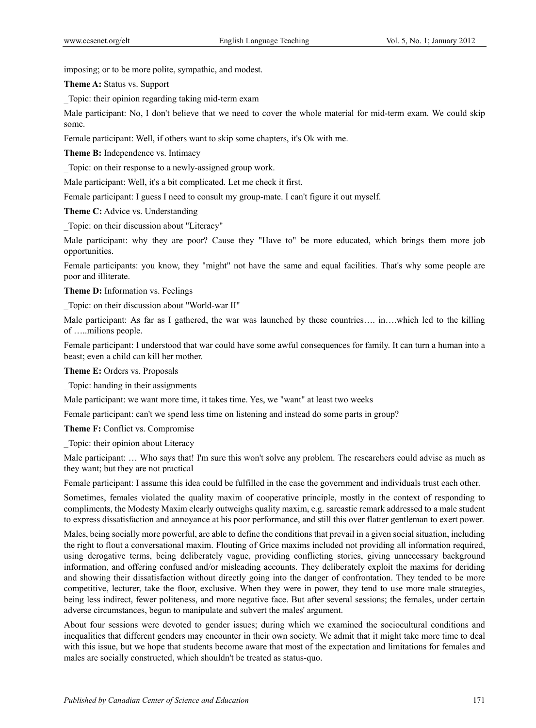imposing; or to be more polite, sympathic, and modest.

**Theme A:** Status vs. Support

\_Topic: their opinion regarding taking mid-term exam

Male participant: No, I don't believe that we need to cover the whole material for mid-term exam. We could skip some.

Female participant: Well, if others want to skip some chapters, it's Ok with me.

**Theme B:** Independence vs. Intimacy

\_Topic: on their response to a newly-assigned group work.

Male participant: Well, it's a bit complicated. Let me check it first.

Female participant: I guess I need to consult my group-mate. I can't figure it out myself.

**Theme C:** Advice vs. Understanding

\_Topic: on their discussion about "Literacy"

Male participant: why they are poor? Cause they "Have to" be more educated, which brings them more job opportunities.

Female participants: you know, they "might" not have the same and equal facilities. That's why some people are poor and illiterate.

**Theme D:** Information vs. Feelings

\_Topic: on their discussion about "World-war II"

Male participant: As far as I gathered, the war was launched by these countries…. in….which led to the killing of …..milions people.

Female participant: I understood that war could have some awful consequences for family. It can turn a human into a beast; even a child can kill her mother.

**Theme E:** Orders vs. Proposals

\_Topic: handing in their assignments

Male participant: we want more time, it takes time. Yes, we "want" at least two weeks

Female participant: can't we spend less time on listening and instead do some parts in group?

**Theme F:** Conflict vs. Compromise

\_Topic: their opinion about Literacy

Male participant: ... Who says that! I'm sure this won't solve any problem. The researchers could advise as much as they want; but they are not practical

Female participant: I assume this idea could be fulfilled in the case the government and individuals trust each other.

Sometimes, females violated the quality maxim of cooperative principle, mostly in the context of responding to compliments, the Modesty Maxim clearly outweighs quality maxim, e.g. sarcastic remark addressed to a male student to express dissatisfaction and annoyance at his poor performance, and still this over flatter gentleman to exert power.

Males, being socially more powerful, are able to define the conditions that prevail in a given social situation, including the right to flout a conversational maxim. Flouting of Grice maxims included not providing all information required, using derogative terms, being deliberately vague, providing conflicting stories, giving unnecessary background information, and offering confused and/or misleading accounts. They deliberately exploit the maxims for deriding and showing their dissatisfaction without directly going into the danger of confrontation. They tended to be more competitive, lecturer, take the floor, exclusive. When they were in power, they tend to use more male strategies, being less indirect, fewer politeness, and more negative face. But after several sessions; the females, under certain adverse circumstances, begun to manipulate and subvert the males' argument.

About four sessions were devoted to gender issues; during which we examined the sociocultural conditions and inequalities that different genders may encounter in their own society. We admit that it might take more time to deal with this issue, but we hope that students become aware that most of the expectation and limitations for females and males are socially constructed, which shouldn't be treated as status-quo.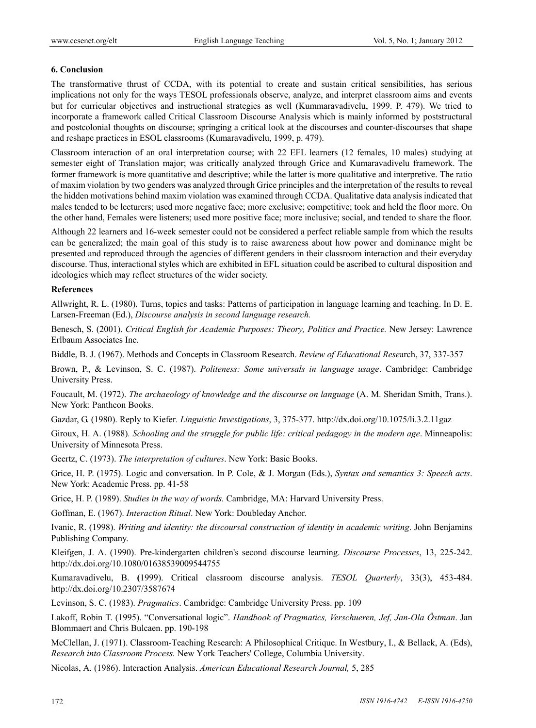#### **6. Conclusion**

The transformative thrust of CCDA, with its potential to create and sustain critical sensibilities, has serious implications not only for the ways TESOL professionals observe, analyze, and interpret classroom aims and events but for curricular objectives and instructional strategies as well (Kummaravadivelu, 1999. P. 479). We tried to incorporate a framework called Critical Classroom Discourse Analysis which is mainly informed by poststructural and postcolonial thoughts on discourse; springing a critical look at the discourses and counter-discourses that shape and reshape practices in ESOL classrooms (Kumaravadivelu, 1999, p. 479).

Classroom interaction of an oral interpretation course; with 22 EFL learners (12 females, 10 males) studying at semester eight of Translation major; was critically analyzed through Grice and Kumaravadivelu framework. The former framework is more quantitative and descriptive; while the latter is more qualitative and interpretive. The ratio of maxim violation by two genders was analyzed through Grice principles and the interpretation of the results to reveal the hidden motivations behind maxim violation was examined through CCDA. Qualitative data analysis indicated that males tended to be lecturers; used more negative face; more exclusive; competitive; took and held the floor more. On the other hand, Females were listeners; used more positive face; more inclusive; social, and tended to share the floor.

Although 22 learners and 16-week semester could not be considered a perfect reliable sample from which the results can be generalized; the main goal of this study is to raise awareness about how power and dominance might be presented and reproduced through the agencies of different genders in their classroom interaction and their everyday discourse. Thus, interactional styles which are exhibited in EFL situation could be ascribed to cultural disposition and ideologies which may reflect structures of the wider society.

#### **References**

Allwright, R. L. (1980). Turns, topics and tasks: Patterns of participation in language learning and teaching. In D. E. Larsen-Freeman (Ed.), *Discourse analysis in second language research.*

Benesch, S. (2001). *Critical English for Academic Purposes: Theory, Politics and Practice.* New Jersey: Lawrence Erlbaum Associates Inc.

Biddle, B. J. (1967). Methods and Concepts in Classroom Research. *Review of Educational Rese*arch, 37, 337-357

Brown, P., & Levinson, S. C. (1987). *Politeness: Some universals in language usage*. Cambridge: Cambridge University Press.

Foucault, M. (1972). *The archaeology of knowledge and the discourse on language* (A. M. Sheridan Smith, Trans.). New York: Pantheon Books.

Gazdar, G. (1980). Reply to Kiefer*. Linguistic Investigations*, 3, 375-377. http://dx.doi.org/10.1075/li.3.2.11gaz

Giroux, H. A. (1988)*. Schooling and the struggle for public life: critical pedagogy in the modern age*. Minneapolis: University of Minnesota Press.

Geertz, C. (1973). *The interpretation of cultures*. New York: Basic Books.

Grice, H. P. (1975). Logic and conversation. In P. Cole, & J. Morgan (Eds.), *Syntax and semantics 3: Speech acts*. New York: Academic Press. pp. 41-58

Grice, H. P. (1989). *Studies in the way of words.* Cambridge, MA: Harvard University Press.

Goffman, E. (1967). *Interaction Ritual*. New York: Doubleday Anchor.

Ivanic, R. (1998). *Writing and identity: the discoursal construction of identity in academic writing*. John Benjamins Publishing Company.

Kleifgen, J. A. (1990). Pre-kindergarten children's second discourse learning. *Discourse Processes*, 13, 225-242. http://dx.doi.org/10.1080/01638539009544755

Kumaravadivelu, B. **(**1999). Critical classroom discourse analysis. *TESOL Quarterly*, 33(3), 453-484. http://dx.doi.org/10.2307/3587674

Levinson, S. C. (1983). *Pragmatics*. Cambridge: Cambridge University Press. pp. 109

Lakoff, Robin T. (1995). "Conversational logic". *Handbook of Pragmatics, Verschueren, Jef, Jan-Ola Östman*. Jan Blommaert and Chris Bulcaen. pp. 190-198

McClellan, J. (1971). Classroom-Teaching Research: A Philosophical Critique. In Westbury, I., & Bellack, A. (Eds), *Research into Classroom Process.* New York Teachers' College, Columbia University.

Nicolas, A. (1986). Interaction Analysis. *American Educational Research Journal,* 5, 285